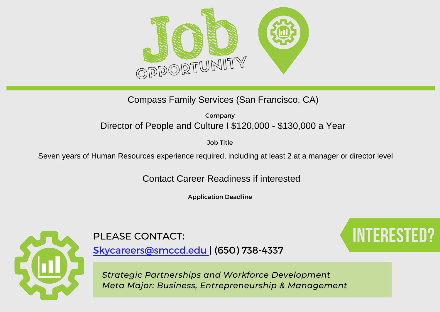

Compass Family Services (San Francisco, CA)

Company Director of People and Culture I \$120,000 - \$130,000 a Year

Job Title

Seven years of Human Resources experience required, including at least 2 at a manager or director level

Contact Career Readiness if interested

Application Deadline



# PLEASE CONTACT: **Interested Contact**:

[Skycareers@smccd.edu | \(650\) 738-4337](mailto:skycareers@smccd.edu)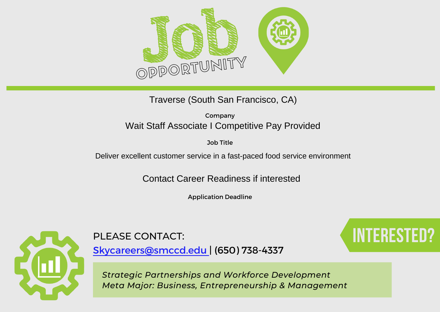

Traverse (South San Francisco, CA)

Company Wait Staff Associate I Competitive Pay Provided

Job Title

Deliver excellent customer service in a fast-paced food service environment

Contact Career Readiness if interested

Application Deadline



[Skycareers@smccd.edu | \(650\) 738-4337](mailto:skycareers@smccd.edu)

PLEASE CONTACT: **Interested and the set of the set of the set of the set of the set of the set of the set of the set of the set of the set of the set of the set of the set of the set of the set of the set of the set of the**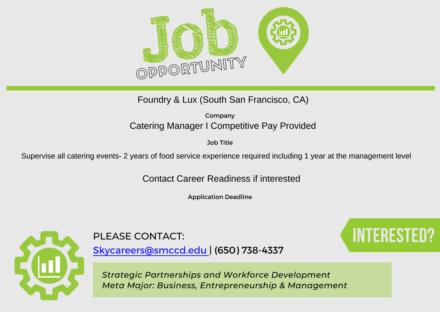

Foundry & Lux (South San Francisco, CA)

Company Catering Manager I Competitive Pay Provided

Job Title

Supervise all catering events- 2 years of food service experience required including 1 year at the management level

Contact Career Readiness if interested

Application Deadline



[Skycareers@smccd.edu | \(650\) 738-4337](mailto:skycareers@smccd.edu)

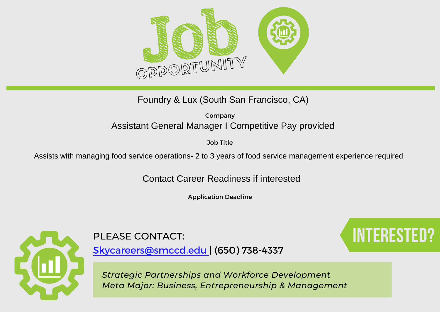

Foundry & Lux (South San Francisco, CA)

Company Assistant General Manager I Competitive Pay provided

Job Title

Assists with managing food service operations- 2 to 3 years of food service management experience required

Contact Career Readiness if interested

Application Deadline



# PLEASE CONTACT: **Interested Contact**:

[Skycareers@smccd.edu | \(650\) 738-4337](mailto:skycareers@smccd.edu)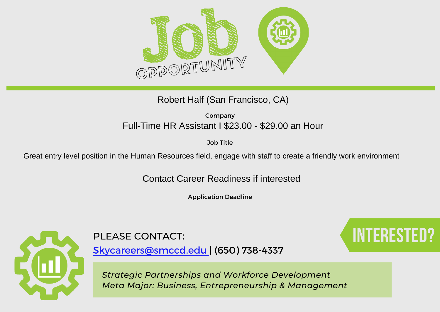

## Robert Half (San Francisco, CA)

Company Full-Time HR Assistant I \$23.00 - \$29.00 an Hour

Job Title

Great entry level position in the Human Resources field, engage with staff to create a friendly work environment

Contact Career Readiness if interested

Application Deadline



[Skycareers@smccd.edu | \(650\) 738-4337](mailto:skycareers@smccd.edu)

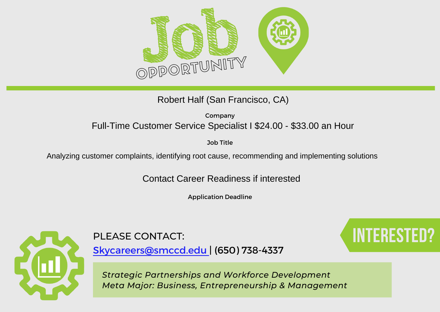

Robert Half (San Francisco, CA)

Company Full-Time Customer Service Specialist I \$24.00 - \$33.00 an Hour

Job Title

Analyzing customer complaints, identifying root cause, recommending and implementing solutions

Contact Career Readiness if interested

Application Deadline



# PLEASE CONTACT: **Interested Contact:**

[Skycareers@smccd.edu | \(650\) 738-4337](mailto:skycareers@smccd.edu)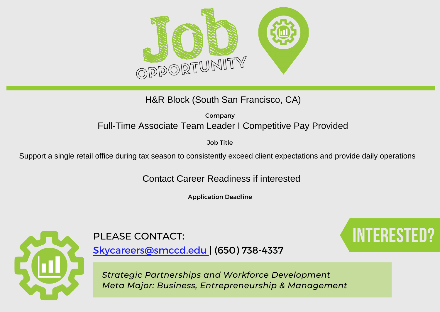

H&R Block (South San Francisco, CA)

Company Full-Time Associate Team Leader I Competitive Pay Provided

Job Title

Support a single retail office during tax season to consistently exceed client expectations and provide daily operations

Contact Career Readiness if interested

Application Deadline



# PLEASE CONTACT: **Interested and the set of the set of the set of the set of the set of the set of the set of the set of the set of the set of the set of the set of the set of the set of the set of the set of the set of the**

[Skycareers@smccd.edu | \(650\) 738-4337](mailto:skycareers@smccd.edu)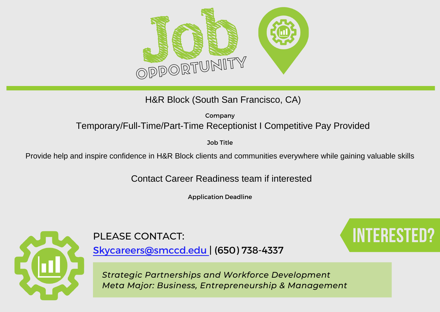

Company H&R Block (South San Francisco, CA)<br><sub>Company</sub><br>Temporary/Full-Time/Part-Time Receptionist I Competitive Pay Provided

Job Title

Provide help and inspire confidence in H&R Block clients and communities everywhere while gaining valuable skills

Contact Career Readiness team if interested

Application Deadline



PLEASE CONTACT: **Interested Contact**:

[Skycareers@smccd.edu | \(650\) 738-4337](mailto:skycareers@smccd.edu)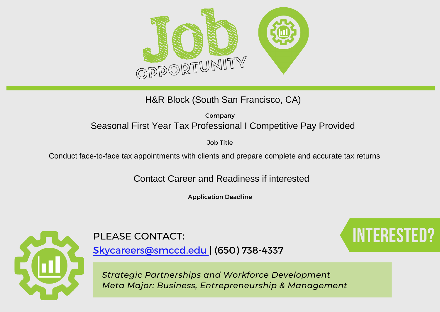

H&R Block (South San Francisco, CA)

Company Seasonal First Year Tax Professional I Competitive Pay Provided

Job Title

Conduct face-to-face tax appointments with clients and prepare complete and accurate tax returns

Contact Career and Readiness if interested

Application Deadline



[Skycareers@smccd.edu | \(650\) 738-4337](mailto:skycareers@smccd.edu)

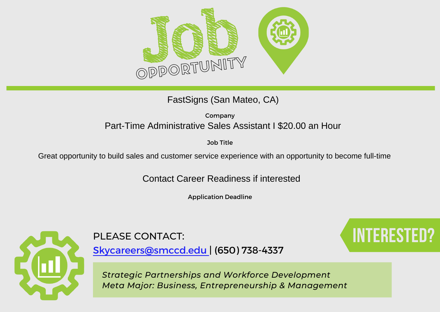

FastSigns (San Mateo, CA)

Company Part-Time Administrative Sales Assistant I \$20.00 an Hour

Job Title

Great opportunity to build sales and customer service experience with an opportunity to become full-time

Contact Career Readiness if interested

Application Deadline



[Skycareers@smccd.edu | \(650\) 738-4337](mailto:skycareers@smccd.edu)